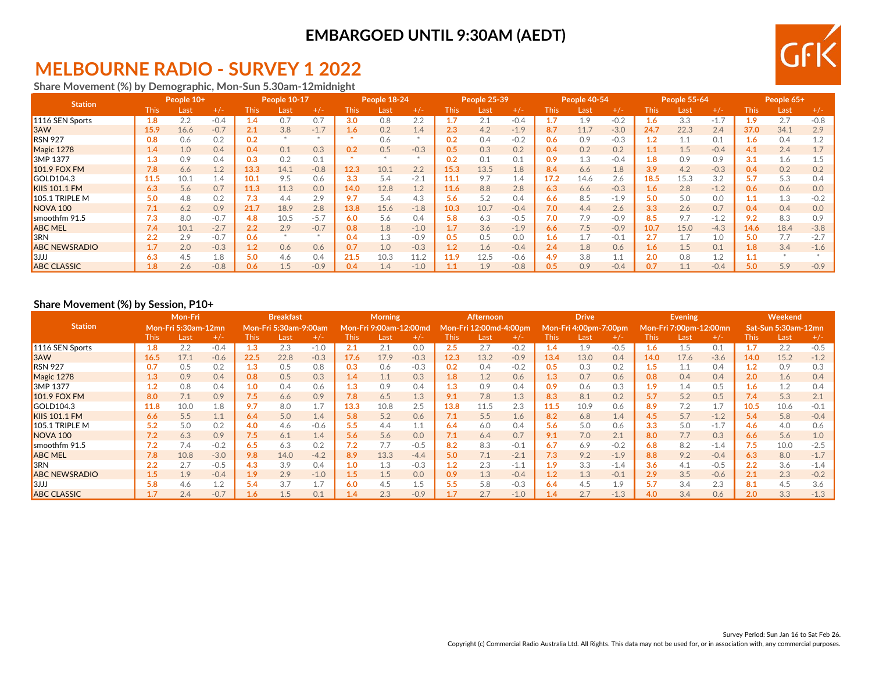### **EMBARGOED UNTIL 9:30AM (AEDT)**

# **MELBOURNE RADIO - SURVEY 1 2022**

**Share Movement (%) by Demographic, Mon-Sun 5.30am-12midnight**

| <b>Station</b>       |       | People 10+ |        |      | <b>People 10-17</b> |        |       | People 18-24 |        |       | People 25-39 |        |      | People 40-54 |        |                  | People 55-64     |        |         | People 65+ |        |
|----------------------|-------|------------|--------|------|---------------------|--------|-------|--------------|--------|-------|--------------|--------|------|--------------|--------|------------------|------------------|--------|---------|------------|--------|
|                      | This: | Last       | $+/-$  | This | Last                | $+/-$  | This. | Last         | $+/-$  | This: | Last         | $+/-$  | This | _ast         | $+/-$  | This.            | _ast             | $+/-$  | This:   | Last       | $+/-$  |
| 1116 SEN Sports      | 1.8   | 2.2        | $-0.4$ | 1.4  | 0.7                 | 0.7    | 3.0   | 0.8          | 2.2    |       | 2.1          | $-0.4$ |      | 1.9          | $-0.2$ | 1.6 <sub>1</sub> | 3.3              | $-1.7$ | 1.9     | 2.7        | $-0.8$ |
| <b>B</b> 3AW         | 15.9  | 16.6       | $-0.7$ | 2.1  | 3.8                 | $-1.7$ | 1.6   | 0.2          | 1.4    | 2.3   | 4.2          | $-1.9$ | 8.7  | 11.7         | $-3.0$ | 24.7             | 22.3             | 2.4    | 37.0    | 34.1       | 2.9    |
| <b>RSN 927</b>       | 0.8   | 0.6        | 0.2    | 0.2  |                     |        |       | 0.6          |        | 0.2   | 0.4          | $-0.2$ | 0.6  | 0.9          | $-0.3$ | 1.2              |                  | 0.1    | 1.6     | 0.4        | 1.2    |
| Magic 1278           | 1.4   | 1.0        | 0.4    | 0.4  | 0.1                 | 0.3    | 0.2   | 0.5          | $-0.3$ | 0.5   | 0.3          | 0.2    | 0.4  | 0.2          | 0.2    | 1.1              | $\overline{1.5}$ | $-0.4$ | 4.1     | 2.4        | 1.7    |
| 3MP 1377             |       | 0.9        | 0.4    | 0.3  | 0.2                 | 0.1    |       |              |        | 0.2   | 0.1          | 0.1    | 0.9  | 1.3          | $-0.4$ | 1.8              | 0.9              | 0.9    | 3.1     | 1.6        | 1.5    |
| <b>101.9 FOX FM</b>  | 7.8   | 6.6        | 1.2    | 13.3 | 14.1                | $-0.8$ | 12.3  | 10.1         | 2.2    | 15.3  | 13.5         | 1.8    | 8.4  | 6.6          | 1.8    | 3.9              | 4.2              | $-0.3$ | 0.4     | 0.2        | 0.2    |
| GOLD104.3            | 11.5  | 10.1       | 1.4    | 10.1 | 9.5                 | 0.6    | 3.3   | 5.4          | $-2.1$ | 11.1  | 9.7          | 1.4    | 17.2 | 14.6         | 2.6    | 18.5             | 15.3             | 3.2    | 5.7     | 5.3        | 0.4    |
| <b>KIIS 101.1 FM</b> | 6.3   | 5.6        | 0.7    | 11.3 | 11.3                | 0.0    | 14.0  | 12.8         | 1.2    | 11.6  | 8.8          | 2.8    | 6.3  | 6.6          | $-0.3$ | 1.6              | 2.8              | $-1.2$ | 0.6     | 0.6        | 0.0    |
| 105.1 TRIPLE M       | 5.0   | 4.8        | 0.2    | 7.3  | 4.4                 | 2.9    | 9.7   | 5.4          | 4.3    | 5.6   | 5.2          | 0.4    | 6.6  | 8.5          | $-1.9$ | 5.0              | 5.0              | 0.0    | $1.1\,$ | 1.3        | $-0.2$ |
| NOVA <sub>100</sub>  | 7.1   | 6.2        | 0.9    | 21.7 | 18.9                | 2.8    | 13.8  | 15.6         | $-1.8$ | 10.3  | 10.7         | $-0.4$ | 7.0  | 4.4          | 2.6    | 3.3              | 2.6              | 0.7    | 0.4     | 0.4        | 0.0    |
| smoothfm 91.5        | 7.3   | 8.0        | $-0.7$ | 4.8  | 10.5                | $-5.7$ | 6.0   | 5.6          | 0.4    | 5.8   | 6.3          | $-0.5$ | 7.0  | 7.9          | $-0.9$ | 8.5              | 9.7              | $-1.2$ | 9.2     | 8.3        | 0.9    |
| <b>ABC MEL</b>       | 7.4   | 10.1       | $-2.7$ | 2.2  | 2.9                 | $-0.7$ | 0.8   | 1.8          | $-1.0$ | 1.7   | 3.6          | $-1.9$ | 6.6  | 7.5          | $-0.9$ | 10.7             | 15.0             | $-4.3$ | 14.6    | 18.4       | $-3.8$ |
| 3RN                  | 2.2   | 2.9        | $-0.7$ | 0.6  |                     |        | 0.4   |              | $-0.9$ | 0.5   | 0.5          | 0.0    | 1.6  |              | $-0.1$ | 2.7              |                  | 1.0    | 5.0     | 7.7        | $-2.7$ |
| <b>ABC NEWSRADIO</b> | 1.7   | 2.0        | $-0.3$ | 1.2  | 0.6                 | 0.6    | 0.7   | 1.0          | $-0.3$ | 1.2   | 1.6          | $-0.4$ | 2.4  | 1.8          | 0.6    | 1.6              | 1.5              | 0.1    | 1.8     | 3.4        | $-1.6$ |
| <b>BUJJ</b>          | 6.3   | 4.5        | 1.8    | 5.0  | 4.6                 | 0.4    | 21.5  | 10.3         | 11.2   | 11.9  | 12.5         | $-0.6$ | 4.9  | 3.8          |        | 2.0              | 0.8              | 1.2    | 1.1     |            |        |
| <b>ABC CLASSIC</b>   | 1.8   | 2.6        | $-0.8$ | 0.6  | 1.5                 | $-0.9$ | 0.4   | 4.4          | $-1.0$ |       | 1.9          | $-0.8$ | 0.5  | 0.9          | $-0.4$ |                  |                  | $-0.4$ | 5.0     | 5.9        | $-0.9$ |

#### **Share Movement (%) by Session, P10+**

|                      | Mon-Fri     |                            |        | <b>Breakfast</b>      |      |        | <b>Morning</b>          |      |           | <b>Afternoon</b> |      | <b>Drive</b> |                              |      | <b>Evening</b> |                        |      | Weekend |                     |      |        |
|----------------------|-------------|----------------------------|--------|-----------------------|------|--------|-------------------------|------|-----------|------------------|------|--------------|------------------------------|------|----------------|------------------------|------|---------|---------------------|------|--------|
| <b>Station</b>       |             | <b>Mon-Fri 5:30am-12mn</b> |        | Mon-Fri 5:30am-9:00am |      |        | Mon-Fri 9:00am-12:00md، |      | Mon-Fri ː | 12:00md-4:00pm   |      |              | <b>Mon-Fri 4:00pm-7:00pm</b> |      |                | Mon-Fri 7:00pm-12:00mn |      |         | Sat-Sun 5:30am-12mn |      |        |
|                      | <b>This</b> | Last                       | $+/-$  | <b>This</b>           | Last | $+/-$  | This                    | Last | $+/-$     | This             | Last | $+/-$        | <b>This</b>                  | Last |                | This                   | Last | $+/-$   | This                | Last | $+/-$  |
| 1116 SEN Sports      | 1.8         | 2.2                        | $-0.4$ | 1.3                   | 2.3  | $-1.0$ | 2.1                     | 2.1  | 0.0       | 2.5              | 2.7  | $-0.2$       | 1.4                          | 1.9  | $-0.5$         | 1.6                    | 1.5  | 0.1     |                     | 2.2  | $-0.5$ |
| 3AW                  | 16.5        | 17.1                       | $-0.6$ | 22.5                  | 22.8 | $-0.3$ | 17.6                    | 17.9 | $-0.3$    | 12.3             | 13.2 | $-0.9$       | 13.4                         | 13.0 | 0.4            | 14.0                   | 17.6 | $-3.6$  | 14.0                | 15.2 | $-1.2$ |
| <b>RSN 927</b>       | 0.7         | 0.5                        | 0.2    | 1.3                   | 0.5  | 0.8    | 0.3                     | 0.6  | $-0.3$    | 0.2              | 0.4  | $-0.2$       | 0.5                          | 0.3  | 0.2            | 1.5                    |      | 0.4     | 1.2                 | 0.9  | 0.3    |
| Magic 1278           | 1.3         | 0.9                        | 0.4    | 0.8                   | 0.5  | 0.3    | 1.4                     | 1.1  | 0.3       | 1.8              | 1.2  | 0.6          | 1.3                          | 0.7  | 0.6            | 0.8                    | 0.4  | 0.4     | 2.0                 | 1.6  | 0.4    |
| 3MP 1377             | $1.2\,$     | 0.8                        | 0.4    | 1.0                   | 0.4  | 0.6    | 1.3                     | 0.9  | 0.4       | 1.3              | 0.9  | 0.4          | 0.9                          | 0.6  | 0.3            | 1.9                    | 1.4  | 0.5     | 1.6                 | 1.2  | 0.4    |
| <b>101.9 FOX FM</b>  | 8.0         | 7.1                        | 0.9    | 7.5                   | 6.6  | 0.9    | 7.8                     | 6.5  | 1.3       | 9.1              | 7.8  | 1.3          | 8.3                          | 8.1  | 0.2            | 5.7                    | 5.2  | 0.5     | 7.4                 | 5.3  | 2.1    |
| GOLD104.3            | 11.8        | 10.0                       | 1.8    | 9.7                   | 8.0  | 1.7    | 13.3                    | 10.8 | 2.5       | 13.8             | 11.5 | 2.3          | 11.5                         | 10.9 | 0.6            | 8.9                    | 7.2  | 1.7     | 10.5                | 10.6 | $-0.1$ |
| <b>KIIS 101.1 FM</b> | 6.6         | 5.5                        | 1.1    | 6.4                   | 5.0  | 1.4    | 5.8                     | 5.2  | 0.6       | 7.1              | 5.5  | 1.6          | 8.2                          | 6.8  | 1.4            | 4.5                    | 5.7  | $-1.2$  | 5.4                 | 5.8  | $-0.4$ |
| 105.1 TRIPLE M       | 5.2         | 5.0                        | 0.2    | 4.0                   | 4.6  | $-0.6$ | 5.5                     | 4.4  | 1.1       | 6.4              | 6.0  | 0.4          | 5.6                          | 5.0  | 0.6            | 3.3                    | 5.0  | $-1.7$  | 4.6                 | 4.0  | 0.6    |
| NOVA <sub>100</sub>  | 7.2         | 6.3                        | 0.9    | 7.5                   | 6.1  | 1.4    | 5.6                     | 5.6  | 0.0       | 7.1              | 6.4  | 0.7          | 9.1                          | 7.0  | 2.1            | 8.0                    |      | 0.3     | 6.6                 | 5.6  | 1.0    |
| smoothfm 91.5        | 7.2         | 7.4                        | $-0.2$ | 6.5                   | 6.3  | 0.2    | 7.2                     |      | $-0.5$    | 8.2              | 8.3  | $-0.1$       | 6.7                          | 6.9  | $-0.2$         | 6.8                    | 8.2  | $-1.4$  | 7.5                 | 10.0 | $-2.5$ |
| <b>ABC MEL</b>       | 7.8         | 10.8                       | $-3.0$ | 9.8                   | 14.0 | $-4.2$ | 8.9                     | 13.3 | $-4.4$    | 5.0              | 7.1  | $-2.1$       | 7.3                          | 9.2  | $-1.9$         | 8.8                    | 9.2  | $-0.4$  | 6.3                 | 8.0  | $-1.7$ |
| 3RN                  | 2.2         | 2.7                        | $-0.5$ | 4.3                   | 3.9  | 0.4    | 1.0                     | 1.3  | $-0.3$    | 1.2              | 2.3  | $-1.1$       | 1.9                          | 3.3  | $-1.4$         | 3.6                    | 4.1  | $-0.5$  | 2.2                 | 3.6  | $-1.4$ |
| <b>ABC NEWSRADIO</b> | 1.5         | 1.9                        | $-0.4$ | 1.9                   | 2.9  | $-1.0$ | 1.5                     | 1.5  | 0.0       | 0.9              | 1.3  | $-0.4$       | 1.2                          | 1.3  | $-0.1$         | 2.9                    | 3.5  | $-0.6$  | 2.1                 | 2.3  | $-0.2$ |
| 3JJJ                 | 5.8         | 4.6                        | 1.2    | 5.4                   | 3.7  | 1.7    | 6.0                     | 4.5  | 1.5       | 5.5              | 5.8  | $-0.3$       | 6.4                          | 4.5  | 1.9            |                        | 3.4  | 2.3     | 8.1                 | 4.5  | 3.6    |
| <b>ABC CLASSIC</b>   | 1.7         | 2.4                        | $-0.7$ | 1.6                   | 1.5  | 0.1    | 1.4                     | 2.3  | $-0.9$    |                  | 2.7  | $-1.0$       | 1.4                          | 2.7  | $-1.3$         | 4.0                    | 3.4  | 0.6     | 2.0                 | 3.3  | $-1.3$ |

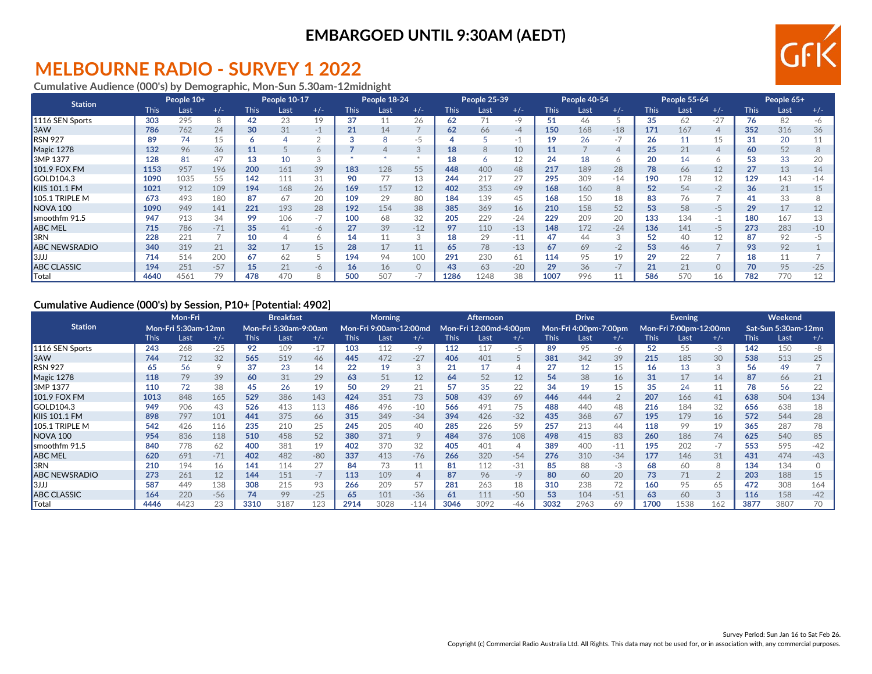### **EMBARGOED UNTIL 9:30AM (AEDT)**

### **MELBOURNE RADIO - SURVEY 1 2022**

**Cumulative Audience (000's) by Demographic, Mon-Sun 5.30am-12midnight**

| <b>Station</b>       |             | People 10+ |       | People 10-17 |      |       | People 18-24 |                 |          | People 25-39 |      |       | People 40-54 |      |       | People 55-64 |      |                | People 65+  |      |       |
|----------------------|-------------|------------|-------|--------------|------|-------|--------------|-----------------|----------|--------------|------|-------|--------------|------|-------|--------------|------|----------------|-------------|------|-------|
|                      | <b>This</b> | Last       | $+/-$ | <b>This</b>  | Last | $+/-$ | This         | Last            | $+/-$    | This         | Last | $+/-$ | <b>This</b>  | Last | $+/-$ | <b>This</b>  | Last | $+/-$          | <b>This</b> | Last | $+/-$ |
| 1116 SEN Sports      | 303         | 295        | 8     | 42           | 23   | 19    | 37           |                 | 26       | 62           | 71   | $-9$  | 51           | 46   |       | 35           | 62   | $-27$          | 76          | 82   | -6    |
| <b>SAW</b>           | 786         | 762        | 24    | 30           | 31   | -1    | 21           | 14              |          | 62           | 66   | -4    | 150          | 168  | $-18$ | 171          | 167  | $\overline{4}$ | 352         | 316  | 36    |
| <b>RSN 927</b>       | 89          | 74         | 15    | o            |      |       |              |                 | -5       |              |      |       | 19           | 26   |       | 26           |      | 15             | 31          | 20   | 11    |
| Magic 1278           | 132         | 96         | 36    | 11           |      |       |              |                 | 3        | 18           | 8    | 10    | 11           |      |       | 25           | 21   | $\overline{4}$ | 60          | 52   | 8     |
| 3MP 1377             | 128         | 81         | 47    | 13           | 10   |       |              |                 |          | 18           | 6    |       | 24           | 18   |       | 20           | 14   | 6              | 53          | 33   | 20    |
| <b>101.9 FOX FM</b>  | 1153        | 957        | 196   | 200          | 161  | 39    | 183          | 128             | 55       | 448          | 400  | 48    | 217          | 189  | 28    | 78           | 66   | 12             | 27          | 13   | 14    |
| GOLD104.3            | 1090        | 1035       | 55    | 142          | 111  | 31    | 90           |                 | 13       | 244          | 217  | 27    | 295          | 309  | $-14$ | 190          | 178  | 12             | 129         | 143  | $-14$ |
| <b>KIIS 101.1 FM</b> | 1021        | 912        | 109   | 194          | 168  | 26    | 169          | 157             | 12       | 402          | 353  | 49    | 168          | 160  | 8     | 52           | 54   | $-2$           | 36          | 21   | 15    |
| 105.1 TRIPLE M       | 673         | 493        | 180   | 87           | 67   | 20    | 109          | 29              | 80       | 184          | 139  | 45    | 168          | 150  |       | 83           |      |                | 41          | 33   |       |
| NOVA <sub>100</sub>  | 1090        | 949        | 141   | 221          | 193  | 28    | 192          | 154             | 38       | 385          | 369  | 16    | 210          | 158  | 52    | 53           | 58   | -5             | 29          | 17   | 12    |
| Ismoothfm 91.5       | 947         | 913        | 34    | 99           | 106  | $-1$  | 100          | 68              | 32       | 205          | 229  | $-24$ | 229          | 209  | 20    | 133          | 134  | $-1$           | 180         | 167  | 13    |
| <b>ABC MEL</b>       | 715         | 786        | $-71$ | 35           | 41   | $-6$  | 27           | 39              | $-12$    | 97           | 110  | $-13$ | 148          | 172  | $-24$ | 136          | 141  | $-5$           | 273         | 283  | $-10$ |
| <b>I</b> 3RN         | 228         | 221        |       | 10           |      |       | 14           |                 | 3        | 18           | 29   | $-11$ | 47           | 44   |       | 52           | 40   | 12             | 87          | 92   | $-5$  |
| <b>ABC NEWSRADIO</b> | 340         | 319        | 21    | 32           | 17   | 15    | 28           |                 | 11       | 65           | 78   | $-13$ | 67           | 69   | $-2$  | 53           | 46   |                | 93          | 92   |       |
| תוכוו                | 714         | 514        | 200   | 67           | 62   |       | 194          | 94              | 100      | 291          | 230  | 61    | 114          | 95   | 19    | 29           |      |                | 18          | 11   |       |
| <b>ABC CLASSIC</b>   | 194         | 251        | $-57$ | 15           | 21   | $-6$  | 16           | 16 <sup>1</sup> | $\Omega$ | 43           | 63   | $-20$ | 29           | 36   |       | 21           | 21   | $\circ$        | 70          | 95   | $-25$ |
| <b>Total</b>         | 4640        | 4561       |       | 478          | 470  |       | 500          | 507             |          | 1286         | 1248 | 38    | 1007         | 996  |       | 586          | 570  | 16             | 782         | 770  |       |

### **Cumulative Audience (000's) by Session, P10+ [Potential: 4902]**

|                      | <b>Mon-Fri</b> |                            |       | <b>Breakfast</b> |                              |       | <b>Morning</b> |                        |              | Afternoon |                        | <b>Drive</b> |             |                       | Evening |             |                        | Weekend        |      |                     |       |
|----------------------|----------------|----------------------------|-------|------------------|------------------------------|-------|----------------|------------------------|--------------|-----------|------------------------|--------------|-------------|-----------------------|---------|-------------|------------------------|----------------|------|---------------------|-------|
| <b>Station</b>       |                | <b>Mon-Fri 5:30am-12mn</b> |       |                  | <b>Mon-Fri 5:30am-9:00am</b> |       |                | Mon-Fri 9:00am-12:00md |              |           | Mon-Fri 12:00md-4:00pm |              |             | Mon-Fri 4:00pm-7:00pm |         |             | Mon-Fri 7:00pm-12:00mn |                |      | Sat-Sun 5:30am-12mn |       |
|                      | This           | Last                       | $+/-$ | <b>This</b>      | Last                         | $+/-$ | <b>This</b>    | Last                   | $+/-$        | This      | Last                   | $+/-$        | <b>This</b> | Last                  | $+/-$   | <b>This</b> | Last                   | $+/-$          | This | Last                | $+/-$ |
| 1116 SEN Sports      | 243            | 268                        | $-25$ | 92               | 109                          | $-17$ | 103            | 112                    | -9           | 112       | 117                    | -5           | 89          | 95                    | -6      | 52          | 55                     | -3             | 142  | 150                 | -8    |
| 3AW                  | 744            | 712                        | 32    | 565              | 519                          | 46    | 445            | 472                    | $-27$        | 406       | 401                    |              | 381         | 342                   | 39      | 215         | 185                    | 30             | 538  | 513                 | 25    |
| <b>RSN 927</b>       | 65             | 56                         |       | 37               | 23                           | 14    | 22             | 19                     | $\sim$<br>J. |           | 17                     |              | 27          | 12                    | 15      | 16.         |                        | $\sim$<br>J.   | 56   | 49                  |       |
| Magic 1278           | 118            | 79                         | 39    | 60               | 31                           | 29    | 63             | 51                     | 12           | 64        | 52                     | 12           | 54          | 38                    | 16      | 31          |                        | 14             | 87   | 66                  | 21    |
| 3MP 1377             | 110            | 72                         | 38    | 45               | 26                           | 19    | 50             | 29                     | 21           | 57        | 35                     | 22           | 34          | 19                    | 15      | 35          | 24                     | 11             | 78   | 56                  | 22    |
| 101.9 FOX FM         | 1013           | 848                        | 165   | 529              | 386                          | 143   | 424            | 351                    | 73           | 508       | 439                    | 69           | 446         | 444                   |         | 207         | 166                    | 41             | 638  | 504                 | 134   |
| GOLD104.3            | 949            | 906                        | 43    | 526              | 413                          | 113   | 486            | 496                    | $-10$        | 566       | 491                    | 75           | 488         | 440                   | 48      | 216         | 184                    | 32             | 656  | 638                 | 18    |
| <b>KIIS 101.1 FM</b> | 898            | 797                        | 101   | 441              | 375                          | 66    | 315            | 349                    | $-34$        | 394       | 426                    | $-32$        | 435         | 368                   | 67      | 195         | 179                    | 16             | 572  | 544                 | 28    |
| 105.1 TRIPLE M       | 542            | 426                        | 116   | 235              | 210                          | 25    | 245            | 205                    | 40           | 285       | 226                    | 59           | 257         | 213                   | 44      | 118         | 99                     | 19             | 365  | 287                 | 78    |
| NOVA <sub>100</sub>  | 954            | 836                        | 118   | 510              | 458                          | 52    | 380            | 371                    | 9            | 484       | 376                    | 108          | 498         | 415                   | 83      | 260         | 186                    | 74             | 625  | 540                 | 85    |
| smoothfm 91.5        | 840            | 778                        | 62    | 400              | 381                          | 19    | 402            | 370                    | 32           | 405       | 401                    | 4            | 389         | 400                   | $-11$   | 195         | 202                    | $-7$           | 553  | 595                 | $-42$ |
| <b>ABC MEL</b>       | 620            | 691                        | $-71$ | 402              | 482                          | $-80$ | 337            | 413                    | $-76$        | 266       | 320                    | $-54$        | 276         | 310                   | $-34$   | 177         | 146                    | 31             | 431  | 474                 | $-43$ |
| 3RN                  | 210            | 194                        | 16    | 141              | 114                          | 27    | 84             | 73                     | A<br>⊥⊥      | 81        | 112                    | $-31$        | 85          | 88                    | $-3$    | 68          | 60                     | 8              | 134  | 134                 |       |
| <b>ABC NEWSRADIO</b> | 273            | 261                        | 12    | 144              | 151                          | $-7$  | 113            | 109                    | 4            | 87        | 96                     | $-9$         | 80          | 60                    | 20      | 73          |                        | $\overline{2}$ | 203  | 188                 | 15    |
| 3JJJ                 | 587            | 449                        | 138   | 308              | 215                          | 93    | 266            | 209                    | 57           | 281       | 263                    | 18           | 310         | 238                   | 72      | 160         | 95                     | 65             | 472  | 308                 | 164   |
| <b>ABC CLASSIC</b>   | 164            | 220                        | $-56$ | 74               | 99                           | $-25$ | 65             | 101                    | $-36$        | 61        | 111                    | $-50$        | 53          | 104                   | $-51$   | 63          | 60                     | 3              | 116  | 158                 | $-42$ |
| Total                | 4446           | 4423                       | 23    | 3310             | 3187                         | 123   | 2914           | 3028                   | $-114$       | 3046      | 3092                   | $-46$        | 3032        | 2963                  | 69      | 1700        | 1538                   | 162            | 3877 | 3807                | 70    |